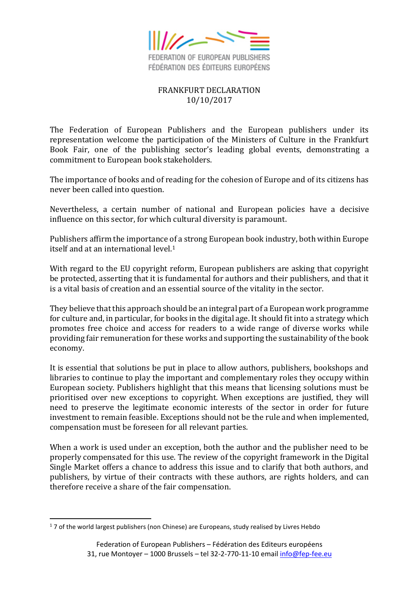

## FRANKFURT DECLARATION 10/10/2017

The Federation of European Publishers and the European publishers under its representation welcome the participation of the Ministers of Culture in the Frankfurt Book Fair, one of the publishing sector's leading global events, demonstrating a commitment to European book stakeholders.

The importance of books and of reading for the cohesion of Europe and of its citizens has never been called into question.

Nevertheless, a certain number of national and European policies have a decisive influence on this sector, for which cultural diversity is paramount.

Publishers affirm the importance of a strong European book industry, both within Europe itself and at an international level.<sup>1</sup>

With regard to the EU copyright reform, European publishers are asking that copyright be protected, asserting that it is fundamental for authors and their publishers, and that it is a vital basis of creation and an essential source of the vitality in the sector.

They believe that this approach should be an integral part of a European work programme for culture and, in particular, for books in the digital age. It should fit into a strategy which promotes free choice and access for readers to a wide range of diverse works while providing fair remuneration for these works and supporting the sustainability of the book economy.

It is essential that solutions be put in place to allow authors, publishers, bookshops and libraries to continue to play the important and complementary roles they occupy within European society. Publishers highlight that this means that licensing solutions must be prioritised over new exceptions to copyright. When exceptions are justified, they will need to preserve the legitimate economic interests of the sector in order for future investment to remain feasible. Exceptions should not be the rule and when implemented, compensation must be foreseen for all relevant parties.

When a work is used under an exception, both the author and the publisher need to be properly compensated for this use. The review of the copyright framework in the Digital Single Market offers a chance to address this issue and to clarify that both authors, and publishers, by virtue of their contracts with these authors, are rights holders, and can therefore receive a share of the fair compensation.

 $\overline{a}$ 

 $17$  of the world largest publishers (non Chinese) are Europeans, study realised by Livres Hebdo